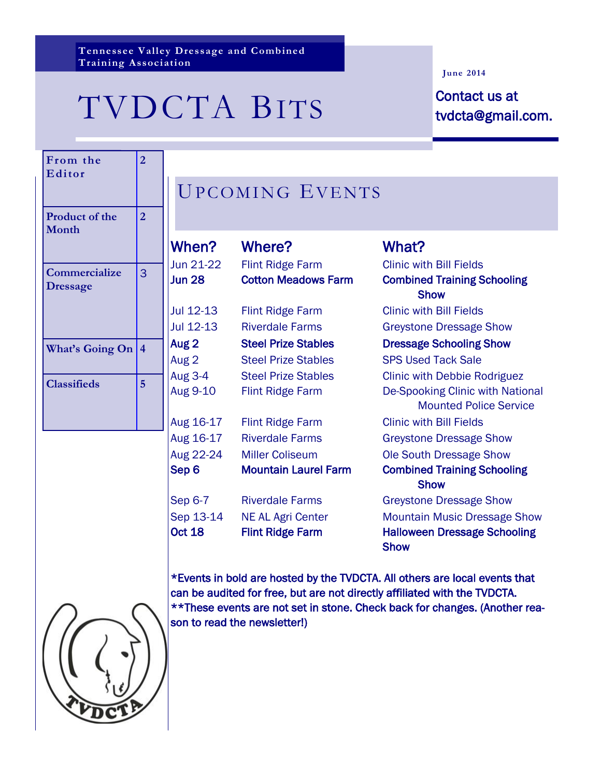**Tennessee Valley Dressage and Combined Training Association**

# TVDCTA BITS Contact us at

#### **June 2014**

tvdcta@gmail.com.

| From the<br>Editor               | $\overline{2}$          |                      |
|----------------------------------|-------------------------|----------------------|
| Product of the<br>Month          | $\overline{2}$          |                      |
| Commercialize<br><b>Dressage</b> | 3                       | Jι<br>Jι<br>Jι<br>Jι |
| <b>What's Going On</b>           | $\overline{\mathbf{4}}$ | A١<br>Aι             |
| <b>Classifieds</b>               | 5                       | A١<br>A١             |
|                                  |                         | A١                   |
|                                  |                         | A١                   |

## UPCOMING EVENTS

| <b>When?</b>               | Where?                                              | What?                                                                                     |
|----------------------------|-----------------------------------------------------|-------------------------------------------------------------------------------------------|
| Jun 21-22                  | <b>Flint Ridge Farm</b>                             | <b>Clinic with Bill Fields</b>                                                            |
| <b>Jun 28</b>              | <b>Cotton Meadows Farm</b>                          | <b>Combined Training Schooling</b><br><b>Show</b>                                         |
| Jul 12-13                  | <b>Flint Ridge Farm</b>                             | <b>Clinic with Bill Fields</b>                                                            |
| Jul 12-13                  | <b>Riverdale Farms</b>                              | <b>Greystone Dressage Show</b>                                                            |
| Aug 2                      | <b>Steel Prize Stables</b>                          | <b>Dressage Schooling Show</b>                                                            |
| Aug 2                      | <b>Steel Prize Stables</b>                          | <b>SPS Used Tack Sale</b>                                                                 |
| Aug 3-4                    | <b>Steel Prize Stables</b>                          | <b>Clinic with Debbie Rodriguez</b>                                                       |
| Aug 9-10                   | <b>Flint Ridge Farm</b>                             | De-Spooking Clinic with National<br><b>Mounted Police Service</b>                         |
| Aug 16-17                  | <b>Flint Ridge Farm</b>                             | <b>Clinic with Bill Fields</b>                                                            |
| Aug 16-17                  | <b>Riverdale Farms</b>                              | <b>Greystone Dressage Show</b>                                                            |
| Aug 22-24                  | <b>Miller Coliseum</b>                              | Ole South Dressage Show                                                                   |
| Sep 6                      | <b>Mountain Laurel Farm</b>                         | <b>Combined Training Schooling</b><br><b>Show</b>                                         |
| Sep 6-7                    | <b>Riverdale Farms</b>                              | <b>Greystone Dressage Show</b>                                                            |
| Sep 13-14<br><b>Oct 18</b> | <b>NE AL Agri Center</b><br><b>Flint Ridge Farm</b> | <b>Mountain Music Dressage Show</b><br><b>Halloween Dressage Schooling</b><br><b>Show</b> |



\*Events in bold are hosted by the TVDCTA. All others are local events that can be audited for free, but are not directly affiliated with the TVDCTA. \*\*These events are not set in stone. Check back for changes. (Another reason to read the newsletter!)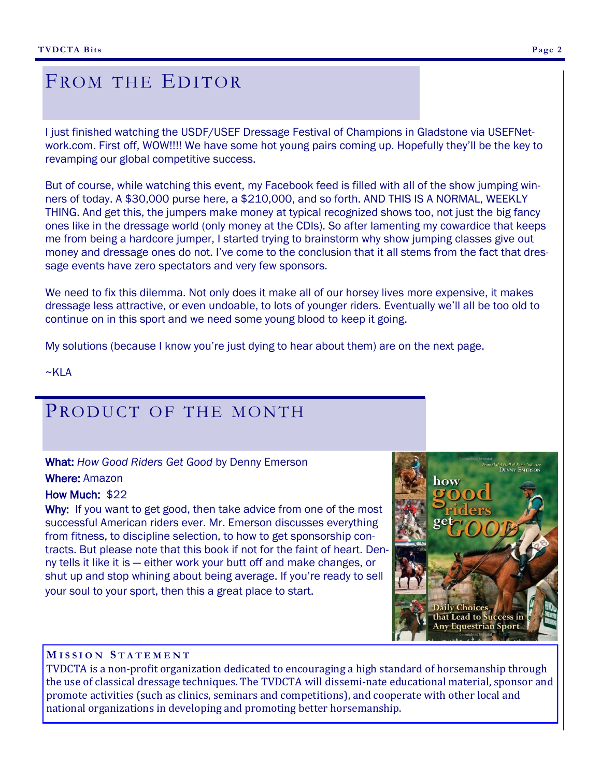## FROM THE EDITOR

I just finished watching the USDF/USEF Dressage Festival of Champions in Gladstone via USEFNetwork.com. First off, WOW!!!! We have some hot young pairs coming up. Hopefully they'll be the key to revamping our global competitive success.

But of course, while watching this event, my Facebook feed is filled with all of the show jumping winners of today. A \$30,000 purse here, a \$210,000, and so forth. AND THIS IS A NORMAL, WEEKLY THING. And get this, the jumpers make money at typical recognized shows too, not just the big fancy ones like in the dressage world (only money at the CDIs). So after lamenting my cowardice that keeps me from being a hardcore jumper, I started trying to brainstorm why show jumping classes give out money and dressage ones do not. I've come to the conclusion that it all stems from the fact that dressage events have zero spectators and very few sponsors.

We need to fix this dilemma. Not only does it make all of our horsey lives more expensive, it makes dressage less attractive, or even undoable, to lots of younger riders. Eventually we'll all be too old to continue on in this sport and we need some young blood to keep it going.

My solutions (because I know you're just dying to hear about them) are on the next page.

 $~\sim$ KLA

## PRODUCT OF THE MONTH

What: *How Good Riders Get Good* by Denny Emerson

#### Where: Amazon

#### How Much: \$22

Why: If you want to get good, then take advice from one of the most successful American riders ever. Mr. Emerson discusses everything from fitness, to discipline selection, to how to get sponsorship contracts. But please note that this book if not for the faint of heart. Denny tells it like it is — either work your butt off and make changes, or shut up and stop whining about being average. If you're ready to sell your soul to your sport, then this a great place to start.

# Choice Lead to Su **Any Equestrian Sport**

#### **M I S S I O N S T A T E M E N T**

TVDCTA is a non-profit organization dedicated to encouraging a high standard of horsemanship through the use of classical dressage techniques. The TVDCTA will dissemi-nate educational material, sponsor and promote activities (such as clinics, seminars and competitions), and cooperate with other local and national organizations in developing and promoting better horsemanship.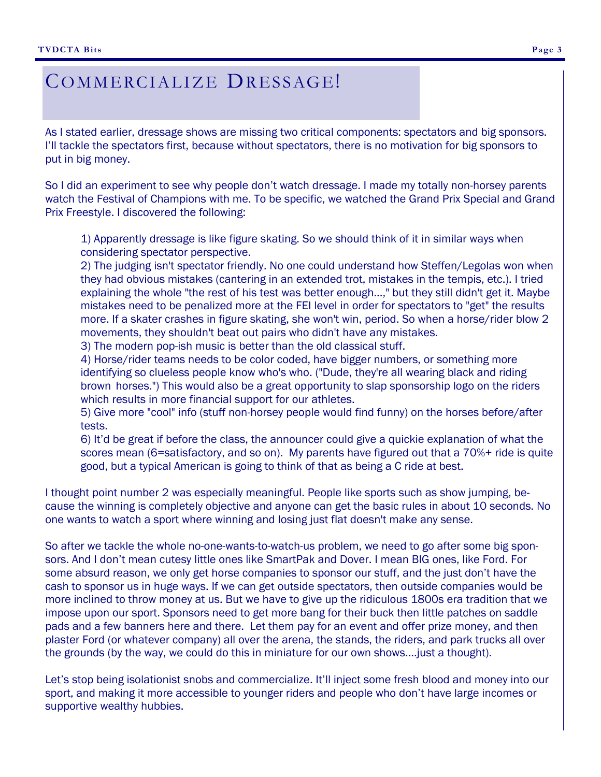## COMMERCIALIZE DRESSAGE!

As I stated earlier, dressage shows are missing two critical components: spectators and big sponsors. I'll tackle the spectators first, because without spectators, there is no motivation for big sponsors to put in big money.

So I did an experiment to see why people don't watch dressage. I made my totally non-horsey parents watch the Festival of Champions with me. To be specific, we watched the Grand Prix Special and Grand Prix Freestyle. I discovered the following:

1) Apparently dressage is like figure skating. So we should think of it in similar ways when considering spectator perspective.

2) The judging isn't spectator friendly. No one could understand how Steffen/Legolas won when they had obvious mistakes (cantering in an extended trot, mistakes in the tempis, etc.). I tried explaining the whole "the rest of his test was better enough...," but they still didn't get it. Maybe mistakes need to be penalized more at the FEI level in order for spectators to "get" the results more. If a skater crashes in figure skating, she won't win, period. So when a horse/rider blow 2 movements, they shouldn't beat out pairs who didn't have any mistakes.

3) The modern pop-ish music is better than the old classical stuff.

4) Horse/rider teams needs to be color coded, have bigger numbers, or something more identifying so clueless people know who's who. ("Dude, they're all wearing black and riding brown horses.") This would also be a great opportunity to slap sponsorship logo on the riders which results in more financial support for our athletes.

5) Give more "cool" info (stuff non-horsey people would find funny) on the horses before/after tests.

6) It'd be great if before the class, the announcer could give a quickie explanation of what the scores mean (6=satisfactory, and so on). My parents have figured out that a 70%+ ride is quite good, but a typical American is going to think of that as being a C ride at best.

I thought point number 2 was especially meaningful. People like sports such as show jumping, because the winning is completely objective and anyone can get the basic rules in about 10 seconds. No one wants to watch a sport where winning and losing just flat doesn't make any sense.

So after we tackle the whole no-one-wants-to-watch-us problem, we need to go after some big sponsors. And I don't mean cutesy little ones like SmartPak and Dover. I mean BIG ones, like Ford. For some absurd reason, we only get horse companies to sponsor our stuff, and the just don't have the cash to sponsor us in huge ways. If we can get outside spectators, then outside companies would be more inclined to throw money at us. But we have to give up the ridiculous 1800s era tradition that we impose upon our sport. Sponsors need to get more bang for their buck then little patches on saddle pads and a few banners here and there. Let them pay for an event and offer prize money, and then plaster Ford (or whatever company) all over the arena, the stands, the riders, and park trucks all over the grounds (by the way, we could do this in miniature for our own shows….just a thought).

Let's stop being isolationist snobs and commercialize. It'll inject some fresh blood and money into our sport, and making it more accessible to younger riders and people who don't have large incomes or supportive wealthy hubbies.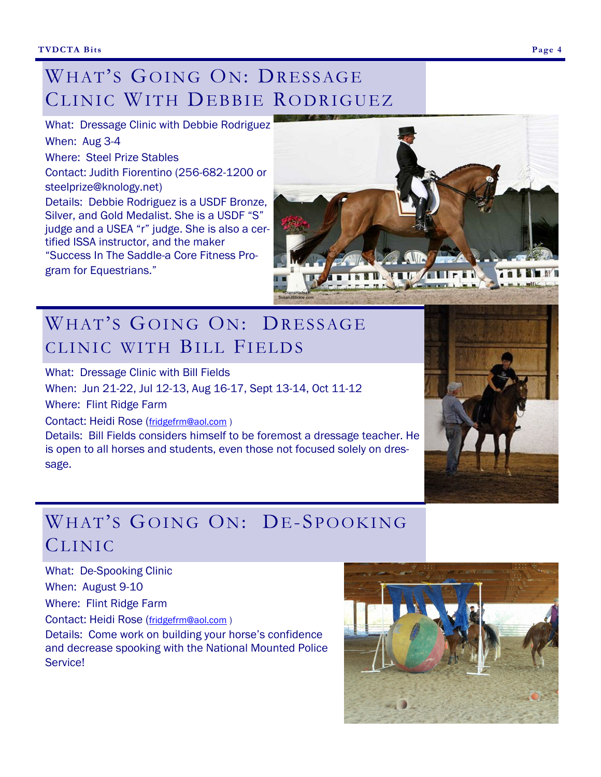## WHAT'S GOING ON: DRESSAGE CLINIC WITH DEBBIE RODRIGUEZ

What: Dressage Clinic with Debbie Rodriguez When: Aug 3-4 Where: Steel Prize Stables Contact: Judith Fiorentino (256-682-1200 or steelprize@knology.net) Details: Debbie Rodriguez is a USDF Bronze, Silver, and Gold Medalist. She is a USDF "S" judge and a USEA "r" judge. She is also a certified ISSA instructor, and the maker "Success In The Saddle-a Core Fitness Program for Equestrians."



## WHAT'S GOING ON: DRESSAGE CLINIC WITH BILL FIELDS

What: Dressage Clinic with Bill Fields

When: Jun 21-22, Jul 12-13, Aug 16-17, Sept 13-14, Oct 11-12

Where: Flint Ridge Farm

Contact: Heidi Rose ([fridgefrm@aol.com](mailto:fridgefrm@aol.com) )

Details: Bill Fields considers himself to be foremost a dressage teacher. He is open to all horses and students, even those not focused solely on dressage.

## WHAT'S GOING ON: DE-SPOOKING CLINIC

What: De-Spooking Clinic

When: August 9-10

Where: Flint Ridge Farm

Contact: Heidi Rose ([fridgefrm@aol.com](mailto:fridgefrm@aol.com) )

Details: Come work on building your horse's confidence and decrease spooking with the National Mounted Police Service!